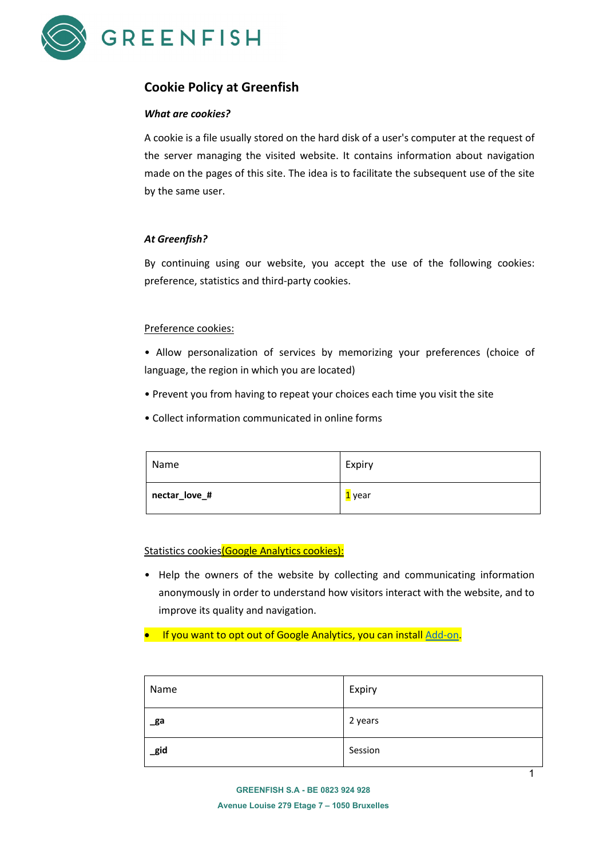

# **Cookie Policy at Greenfish**

## *What are cookies?*

A cookie is a file usually stored on the hard disk of a user's computer at the request of the server managing the visited website. It contains information about navigation made on the pages of this site. The idea is to facilitate the subsequent use of the site by the same user.

## *At Greenfish?*

By continuing using our website, you accept the use of the following cookies: preference, statistics and third-party cookies.

## Preference cookies:

• Allow personalization of services by memorizing your preferences (choice of language, the region in which you are located)

- Prevent you from having to repeat your choices each time you visit the site
- Collect information communicated in online forms

| Name          | Expiry |
|---------------|--------|
| nectar_love_# | 1 year |

## Statistics cookies (Google Analytics cookies):

- Help the owners of the website by collecting and communicating information anonymously in order to understand how visitors interact with the website, and to improve its quality and navigation.
- If you want to opt out of Google Analytics, you can install [Add-on.](https://tools.google.com/dlpage/gaoptout)

| Name | Expiry  |
|------|---------|
| _ga  | 2 years |
| _gid | Session |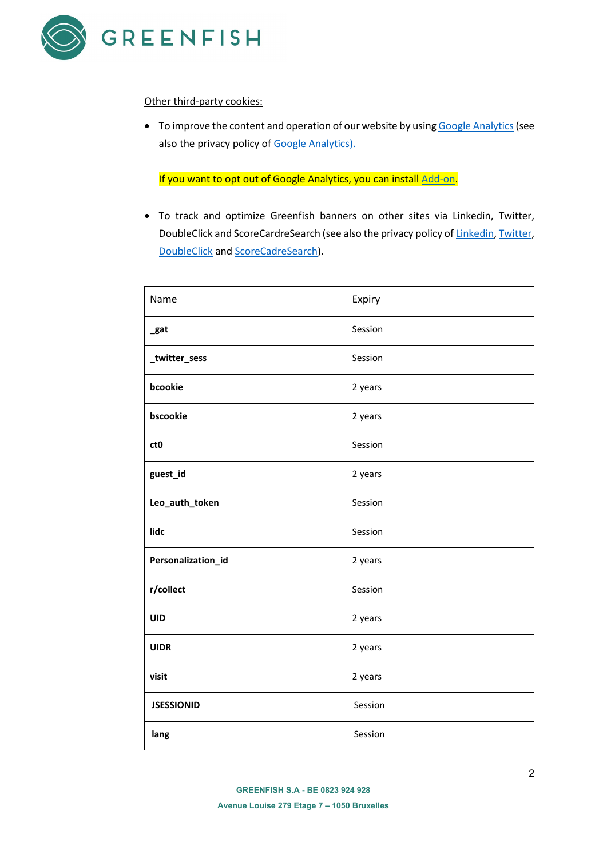

#### Other third-party cookies:

• To improve the content and operation of our website by usin[g Google Analytics](https://policies.google.com/?hl=en&gl=be) (see also the privacy policy o[f Google Analytics\)](https://policies.google.com/?hl=en&gl=be).

If you want to opt out of Google Analytics, you can instal[l Add-on.](https://tools.google.com/dlpage/gaoptout)

• To track and optimize Greenfish banners on other sites via Linkedin, Twitter, DoubleClick and ScoreCardreSearch (see also the privacy policy o[f Linkedin,](https://www.linkedin.com/legal/privacy-policy?banner=accept) [Twitter,](https://twitter.com/privacy?lang=en) [DoubleClick](https://policies.google.com/technologies/ads?hl=fr) an[d ScoreCadreSearch\)](https://www.scorecardresearch.com/privacy.aspx?newlanguage=1).

| Name               | Expiry  |
|--------------------|---------|
| _gat               | Session |
| _twitter_sess      | Session |
| bcookie            | 2 years |
| bscookie           | 2 years |
| ct <sub>0</sub>    | Session |
| guest_id           | 2 years |
| Leo_auth_token     | Session |
| lidc               | Session |
| Personalization_id | 2 years |
| r/collect          | Session |
| UID                | 2 years |
| <b>UIDR</b>        | 2 years |
| visit              | 2 years |
| <b>JSESSIONID</b>  | Session |
| lang               | Session |